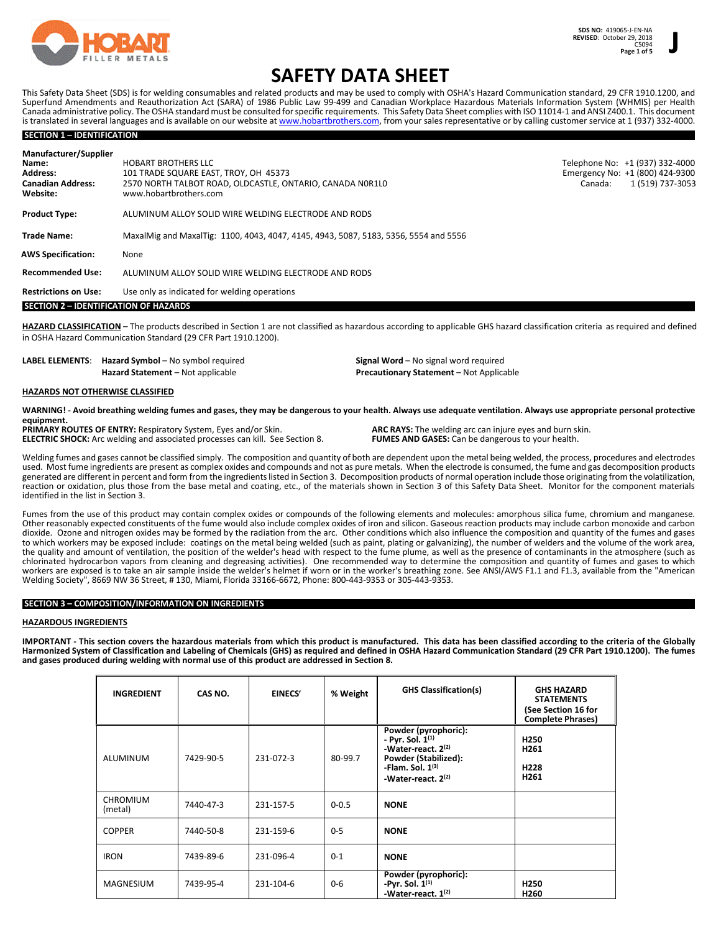

# **SAFETY DATA SHEET**

This Safety Data Sheet (SDS) is for welding consumables and related products and may be used to comply with OSHA's Hazard Communication standard, 29 CFR 1910.1200, and Superfund Amendments and Reauthorization Act (SARA) of 1986 Public Law 99-499 and Canadian Workplace Hazardous Materials Information System (WHMIS) per Health Canada administrative policy. The OSHA standard must be consulted for specific requirements. This Safety Data Sheet complies with ISO 11014-1 and ANSI Z400.1. This document is translated in several languages and is available on our website at www.hobartbrothers.com, from your sales representative or by calling customer service at 1 (937) 332-4000.

## **SECTION 1 – IDENTIFICATION**

| Manufacturer/Supplier<br>Name:<br><b>Address:</b><br><b>Canadian Address:</b><br>Website: | <b>HOBART BROTHERS LLC</b><br>101 TRADE SQUARE EAST. TROY. OH 45373<br>2570 NORTH TALBOT ROAD, OLDCASTLE, ONTARIO, CANADA NOR1LO<br>www.hobartbrothers.com | Telephone No: +1 (937) 332-4000<br>Emergency No: +1 (800) 424-9300<br>1 (519) 737-3053<br>Canada: |
|-------------------------------------------------------------------------------------------|------------------------------------------------------------------------------------------------------------------------------------------------------------|---------------------------------------------------------------------------------------------------|
| <b>Product Type:</b>                                                                      | ALUMINUM ALLOY SOLID WIRE WELDING ELECTRODE AND RODS                                                                                                       |                                                                                                   |
| <b>Trade Name:</b>                                                                        | MaxalMig and MaxalTig: 1100, 4043, 4047, 4145, 4943, 5087, 5183, 5356, 5554 and 5556                                                                       |                                                                                                   |
| <b>AWS Specification:</b>                                                                 | None                                                                                                                                                       |                                                                                                   |
| <b>Recommended Use:</b>                                                                   | ALUMINUM ALLOY SOLID WIRE WELDING ELECTRODE AND RODS                                                                                                       |                                                                                                   |
| <b>Restrictions on Use:</b>                                                               | Use only as indicated for welding operations                                                                                                               |                                                                                                   |
| <b>SECTION 2 - IDENTIFICATION OF HAZARDS</b>                                              |                                                                                                                                                            |                                                                                                   |

**HAZARD CLASSIFICATION** – The products described in Section 1 are not classified as hazardous according to applicable GHS hazard classification criteria as required and defined in OSHA Hazard Communication Standard (29 CFR Part 1910.1200).

| <b>LABEL ELEMENTS:</b> Hazard Symbol – No symbol required | <b>Signal Word</b> – No signal word required    |  |  |
|-----------------------------------------------------------|-------------------------------------------------|--|--|
| <b>Hazard Statement</b> – Not applicable                  | <b>Precautionary Statement</b> – Not Applicable |  |  |

## **HAZARDS NOT OTHERWISE CLASSIFIED**

**WARNING! - Avoid breathing welding fumes and gases, they may be dangerous to your health. Always use adequate ventilation. Always use appropriate personal protective equipment.**

**PRIMARY ROUTES OF ENTRY:** Respiratory System, Eyes and/or Skin. **ARC RAYS:** The welding arc can injure eyes and burn skin. **ELECTRIC SHOCK:** Arc welding and associated processes can kill. See Section 8. **FUMES AND GASES:** Can be dangerous to your health.

Welding fumes and gases cannot be classified simply. The composition and quantity of both are dependent upon the metal being welded, the process, procedures and electrodes used. Most fume ingredients are present as complex oxides and compounds and not as pure metals. When the electrode is consumed, the fume and gas decomposition products generated are different in percent and form from the ingredients listed in Section 3. Decomposition products of normal operation include those originating from the volatilization, reaction or oxidation, plus those from the base metal and coating, etc., of the materials shown in Section 3 of this Safety Data Sheet. Monitor for the component materials identified in the list in Section 3.

Fumes from the use of this product may contain complex oxides or compounds of the following elements and molecules: amorphous silica fume, chromium and manganese. Other reasonably expected constituents of the fume would also include complex oxides of iron and silicon. Gaseous reaction products may include carbon monoxide and carbon dioxide. Ozone and nitrogen oxides may be formed by the radiation from the arc. Other conditions which also influence the composition and quantity of the fumes and gases to which workers may be exposed include: coatings on the metal being welded (such as paint, plating or galvanizing), the number of welders and the volume of the work area, the quality and amount of ventilation, the position of the welder's head with respect to the fume plume, as well as the presence of contaminants in the atmosphere (such as chlorinated hydrocarbon vapors from cleaning and degreasing activities). One recommended way to determine the composition and quantity of fumes and gases to which workers are exposed is to take an air sample inside the welder's helmet if worn or in the worker's breathing zone. See ANSI/AWS F1.1 and F1.3, available from the "American Welding Society", 8669 NW 36 Street, # 130, Miami, Florida 33166-6672, Phone: 800-443-9353 or 305-443-9353.

#### **SECTION 3 – COMPOSITION/INFORMATION ON INGREDIENTS**

#### **HAZARDOUS INGREDIENTS**

**IMPORTANT - This section covers the hazardous materials from which this product is manufactured. This data has been classified according to the criteria of the Globally Harmonized System of Classification and Labeling of Chemicals (GHS) as required and defined in OSHA Hazard Communication Standard (29 CFR Part 1910.1200). The fumes and gases produced during welding with normal use of this product are addressed in Section 8.**

| <b>INGREDIENT</b>          | CAS NO.   | <b>EINECS<sup>r</sup></b> | % Weight  | <b>GHS Classification(s)</b>                                                                                                                    | <b>GHS HAZARD</b><br><b>STATEMENTS</b><br>(See Section 16 for<br><b>Complete Phrases)</b> |
|----------------------------|-----------|---------------------------|-----------|-------------------------------------------------------------------------------------------------------------------------------------------------|-------------------------------------------------------------------------------------------|
| ALUMINUM                   | 7429-90-5 | 231-072-3                 | 80-99.7   | Powder (pyrophoric):<br>- Pyr. Sol. $1^{(1)}$<br>-Water-react. 2(2)<br>Powder (Stabilized):<br>-Flam. Sol. $1^{(3)}$<br>-Water-react. $2^{(2)}$ | H <sub>250</sub><br>H <sub>261</sub><br>H228<br>H261                                      |
| <b>CHROMIUM</b><br>(metal) | 7440-47-3 | 231-157-5                 | $0 - 0.5$ | <b>NONE</b>                                                                                                                                     |                                                                                           |
| <b>COPPER</b>              | 7440-50-8 | 231-159-6                 | $0 - 5$   | <b>NONE</b>                                                                                                                                     |                                                                                           |
| <b>IRON</b>                | 7439-89-6 | 231-096-4                 | $0 - 1$   | <b>NONE</b>                                                                                                                                     |                                                                                           |
| <b>MAGNESIUM</b>           | 7439-95-4 | 231-104-6                 | $0 - 6$   | Powder (pyrophoric):<br>-Pyr. Sol. $1^{(1)}$<br>-Water-react. 1 <sup>(2)</sup>                                                                  | H <sub>250</sub><br>H260                                                                  |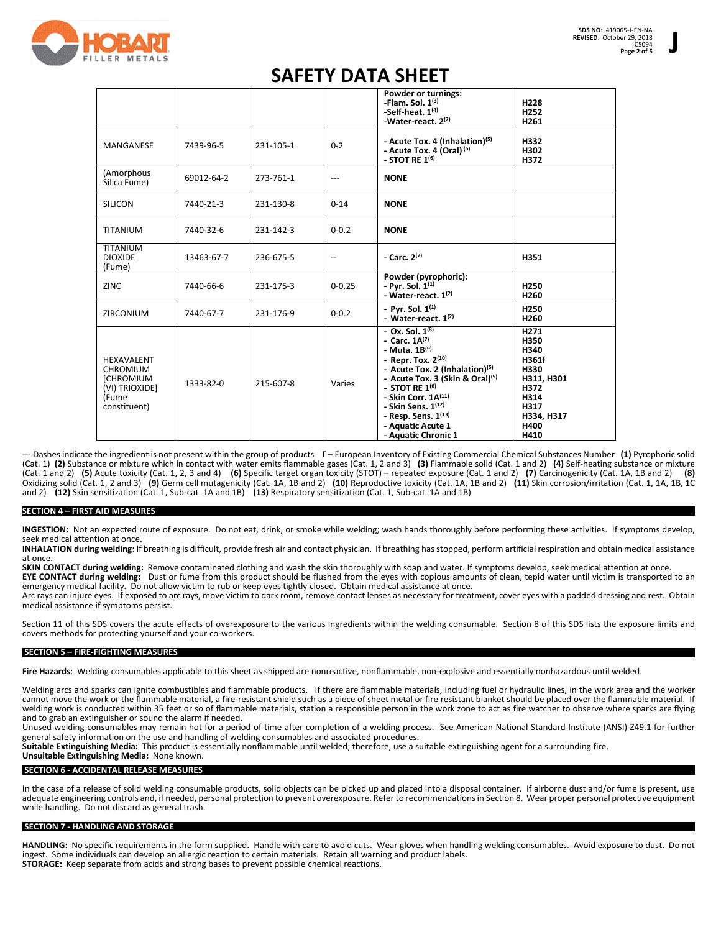

## **SAFETY DATA SHEET**

|                                                                                                            |            |           |            | Powder or turnings:<br>-Flam. Sol. $1^{(3)}$<br>-Self-heat, $1(4)$<br>-Water-react. 2 <sup>(2)</sup>                                                                                                                                                                                                                                   | H228<br>H <sub>252</sub><br>H <sub>261</sub>                                                              |
|------------------------------------------------------------------------------------------------------------|------------|-----------|------------|----------------------------------------------------------------------------------------------------------------------------------------------------------------------------------------------------------------------------------------------------------------------------------------------------------------------------------------|-----------------------------------------------------------------------------------------------------------|
| MANGANESE                                                                                                  | 7439-96-5  | 231-105-1 | $0 - 2$    | - Acute Tox. 4 (Inhalation) <sup>(5)</sup><br>- Acute Tox. 4 (Oral) <sup>(5)</sup><br>- STOT RE $1^{(6)}$                                                                                                                                                                                                                              | H332<br>H302<br>H372                                                                                      |
| (Amorphous<br>Silica Fume)                                                                                 | 69012-64-2 | 273-761-1 | ---        | <b>NONE</b>                                                                                                                                                                                                                                                                                                                            |                                                                                                           |
| <b>SILICON</b>                                                                                             | 7440-21-3  | 231-130-8 | $0 - 14$   | <b>NONE</b>                                                                                                                                                                                                                                                                                                                            |                                                                                                           |
| <b>TITANIUM</b>                                                                                            | 7440-32-6  | 231-142-3 | $0 - 0.2$  | <b>NONE</b>                                                                                                                                                                                                                                                                                                                            |                                                                                                           |
| TITANIUM<br><b>DIOXIDE</b><br>(Fume)                                                                       | 13463-67-7 | 236-675-5 | --         | - Carc. $2^{(7)}$                                                                                                                                                                                                                                                                                                                      | H351                                                                                                      |
| <b>ZINC</b>                                                                                                | 7440-66-6  | 231-175-3 | $0 - 0.25$ | Powder (pyrophoric):<br>- Pyr. Sol. 1 <sup>(1)</sup><br>- Water-react. $1^{(2)}$                                                                                                                                                                                                                                                       | H <sub>250</sub><br>H260                                                                                  |
| <b>ZIRCONIUM</b>                                                                                           | 7440-67-7  | 231-176-9 | $0 - 0.2$  | - Pyr. Sol. $1^{(1)}$<br>- Water-react, $1^{(2)}$                                                                                                                                                                                                                                                                                      | H <sub>250</sub><br>H260                                                                                  |
| <b>HEXAVALENT</b><br><b>CHROMIUM</b><br><b><i>ICHROMIUM</i></b><br>(VI) TRIOXIDE]<br>(Fume<br>constituent) | 1333-82-0  | 215-607-8 | Varies     | $-$ Ox. Sol. $1^{(8)}$<br>- Carc. $1A^{(7)}$<br>- Muta. $1B^{(9)}$<br>- Repr. Tox. $2^{(10)}$<br>- Acute Tox. 2 (Inhalation) <sup>(5)</sup><br>- Acute Tox. 3 (Skin & Oral) <sup>(5)</sup><br>- STOT RE $1^{(6)}$<br>- Skin Corr. $1A^{(11)}$<br>- Skin Sens. 1(12)<br>- Resp. Sens. 1(13)<br>- Aquatic Acute 1<br>- Aquatic Chronic 1 | H271<br>H350<br>H340<br>H361f<br>H330<br>H311, H301<br>H372<br>H314<br>H317<br>H334, H317<br>H400<br>H410 |

--- Dashes indicate the ingredient is not present within the group of products **Γ** – European Inventory of Existing Commercial Chemical Substances Number **(1)** Pyrophoric solid (Cat. 1) **(2)** Substance or mixture which in contact with water emits flammable gases (Cat. 1, 2 and 3) **(3)** Flammable solid (Cat. 1 and 2) **(4)** Self-heating substance or mixture (Cat. 1 and 2) **(5)** Acute toxicity (Cat. 1, 2, 3 and 4) **(6)** Specific target organ toxicity (STOT) – repeated exposure (Cat. 1 and 2) **(7)** Carcinogenicity (Cat. 1A, 1B and 2) **(8)** Oxidizing solid (Cat. 1, 2 and 3) **(9)** Germ cell mutagenicity (Cat. 1A, 1B and 2) **(10)** Reproductive toxicity (Cat. 1A, 1B and 2) **(11)** Skin corrosion/irritation (Cat. 1, 1A, 1B, 1C and 2) **(12)** Skin sensitization (Cat. 1, Sub-cat. 1A and 1B) **(13)** Respiratory sensitization (Cat. 1, Sub-cat. 1A and 1B)

### **SECTION 4 – FIRST AID MEASURES**

**INGESTION:** Not an expected route of exposure. Do not eat, drink, or smoke while welding; wash hands thoroughly before performing these activities. If symptoms develop, seek medical attention at once

**INHALATION during welding:** If breathing is difficult, provide fresh air and contact physician. If breathing has stopped, perform artificial respiration and obtain medical assistance at once.

**SKIN CONTACT during welding:** Remove contaminated clothing and wash the skin thoroughly with soap and water. If symptoms develop, seek medical attention at once. **EYE CONTACT during welding:** Dust or fume from this product should be flushed from the eyes with copious amounts of clean, tepid water until victim is transported to an emergency medical facility. Do not allow victim to rub or keep eyes tightly closed. Obtain medical assistance at once.

Arc rays can injure eyes. If exposed to arc rays, move victim to dark room, remove contact lenses as necessary for treatment, cover eyes with a padded dressing and rest. Obtain medical assistance if symptoms persist.

Section 11 of this SDS covers the acute effects of overexposure to the various ingredients within the welding consumable. Section 8 of this SDS lists the exposure limits and covers methods for protecting yourself and your co-workers.

## **SECTION 5 – FIRE-FIGHTING MEASURES**

Fire Hazards: Welding consumables applicable to this sheet as shipped are nonreactive, nonflammable, non-explosive and essentially nonhazardous until welded.

Welding arcs and sparks can ignite combustibles and flammable products. If there are flammable materials, including fuel or hydraulic lines, in the work area and the worker cannot move the work or the flammable material, a fire-resistant shield such as a piece of sheet metal or fire resistant blanket should be placed over the flammable material. If welding work is conducted within 35 feet or so of flammable materials, station a responsible person in the work zone to act as fire watcher to observe where sparks are flying and to grab an extinguisher or sound the alarm if needed.

Unused welding consumables may remain hot for a period of time after completion of a welding process. See American National Standard Institute (ANSI) Z49.1 for further general safety information on the use and handling of welding consumables and associated procedures.

**Suitable Extinguishing Media:** This product is essentially nonflammable until welded; therefore, use a suitable extinguishing agent for a surrounding fire. **Unsuitable Extinguishing Media:** None known.

## **SECTION 6 - ACCIDENTAL RELEASE MEASURES**

In the case of a release of solid welding consumable products, solid objects can be picked up and placed into a disposal container. If airborne dust and/or fume is present, use adequate engineering controls and, if needed, personal protection to prevent overexposure. Refer to recommendations in Section 8. Wear proper personal protective equipment while handling. Do not discard as general trash.

#### **SECTION 7 - HANDLING AND STORAGE**

**HANDLING:** No specific requirements in the form supplied. Handle with care to avoid cuts. Wear gloves when handling welding consumables. Avoid exposure to dust. Do not ingest. Some individuals can develop an allergic reaction to certain materials. Retain all warning and product labels. **STORAGE:** Keep separate from acids and strong bases to prevent possible chemical reactions.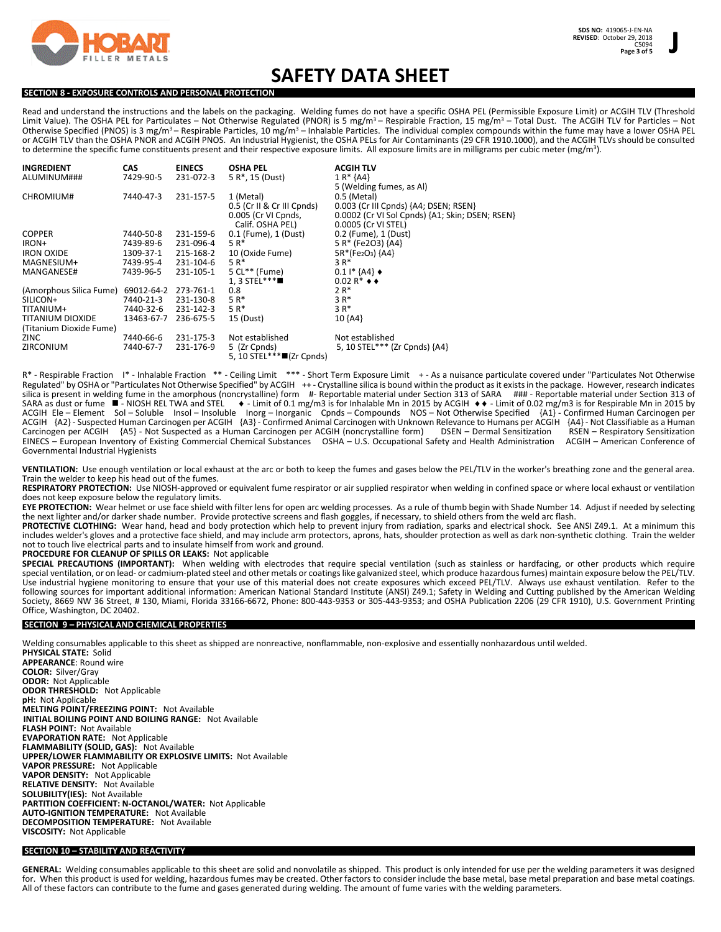

## **SAFETY DATA SHEET**

## **SECTION 8 - EXPOSURE CONTROLS AND PERSONAL PROTECTION**

Read and understand the instructions and the labels on the packaging. Welding fumes do not have a specific OSHA PEL (Permissible Exposure Limit) or ACGIH TLV (Threshold Limit Value). The OSHA PEL for Particulates – Not Otherwise Regulated (PNOR) is 5 mg/m<sup>3</sup> – Respirable Fraction, 15 mg/m<sup>3</sup> – Total Dust. The ACGIH TLV for Particles – Not Otherwise Specified (PNOS) is 3 mg/m<sup>3</sup> – Respirable Particles, 10 mg/m<sup>3</sup> – Inhalable Particles. The individual complex compounds within the fume may have a lower OSHA PEL or ACGIH TLV than the OSHA PNOR and ACGIH PNOS. An Industrial Hygienist, the OSHA PELs for Air Contaminants (29 CFR 1910.1000), and the ACGIH TLVs should be consulted to determine the specific fume constituents present and their respective exposure limits. All exposure limits are in milligrams per cubic meter (mg/m<sup>3</sup>).

| <b>INGREDIENT</b>       | <b>CAS</b> | <b>EINECS</b> | <b>OSHA PEL</b>              | <b>ACGIH TLV</b>                                |
|-------------------------|------------|---------------|------------------------------|-------------------------------------------------|
| ALUMINUM###             | 7429-90-5  | 231-072-3     | 5 R <sup>*</sup> , 15 (Dust) | $1 R* {AA}$                                     |
|                         |            |               |                              | 5 (Welding fumes, as Al)                        |
| CHROMIUM#               | 7440-47-3  | 231-157-5     | 1 (Metal)                    | 0.5 (Metal)                                     |
|                         |            |               | 0.5 (Cr II & Cr III Cpnds)   | 0.003 (Cr III Cpnds) {A4; DSEN; RSEN}           |
|                         |            |               | 0.005 (Cr VI Cpnds,          | 0.0002 (Cr VI Sol Cpnds) {A1; Skin; DSEN; RSEN} |
|                         |            |               | Calif. OSHA PEL)             | 0.0005 (Cr VI STEL)                             |
| <b>COPPER</b>           | 7440-50-8  | 231-159-6     | 0.1 (Fume), 1 (Dust)         | 0.2 (Fume), 1 (Dust)                            |
| IRON+                   | 7439-89-6  | 231-096-4     | 5 R*                         | 5 R* (Fe2O3) {A4}                               |
| <b>IRON OXIDE</b>       | 1309-37-1  | 215-168-2     | 10 (Oxide Fume)              | $5R*(Fe2O3)$ {A4}                               |
| MAGNESIUM+              | 7439-95-4  | 231-104-6     | 5 R*                         | 3 R*                                            |
| MANGANESE#              | 7439-96-5  | 231-105-1     | $5$ CL** (Fume)              | $0.11*$ {A4} $\bullet$                          |
|                         |            |               | 1. 3 STEL***                 | $0.02 R^*$ + +                                  |
| (Amorphous Silica Fume) | 69012-64-2 | 273-761-1     | 0.8                          | $2R*$                                           |
| SILICON+                | 7440-21-3  | 231-130-8     | $5R*$                        | $3R*$                                           |
| TITANIUM+               | 7440-32-6  | 231-142-3     | $5R*$                        | $3R*$                                           |
| TITANIUM DIOXIDE        | 13463-67-7 | 236-675-5     | 15 (Dust)                    | 10 ${AA}$                                       |
| (Titanium Dioxide Fume) |            |               |                              |                                                 |
| <b>ZINC</b>             | 7440-66-6  | 231-175-3     | Not established              | Not established                                 |
| ZIRCONIUM               | 7440-67-7  | 231-176-9     | 5 (Zr Cpnds)                 | 5, 10 STEL*** (Zr Cpnds) {A4}                   |
|                         |            |               | 5, 10 STEL***■(Zr Cpnds)     |                                                 |

R\* - Respirable Fraction I\* - Inhalable Fraction \*\* - Ceiling Limit \*\*\* - Short Term Exposure Limit +- As a nuisance particulate covered under "Particulates Not Otherwise Regulated" by OSHA or "Particulates Not Otherwise Specified" by ACGIH ++ - Crystalline silica is bound within the product as it exists in the package. However, research indicates silica is present in welding fume in the amorphous (noncrystalline) form #- Reportable material under Section 313 of SARA ### - Reportable material under Section 313 of SARA as dust or fume  $\blacksquare$ - NIOSH REL TWA and STEL  $\blacktriangleright$ - Limit of 0.1 mg/m3 is for Inhalable Mn in 2015 by ACGIH  $\blacktriangleright$  - Limit of 0.02 mg/m3 is for Respirable Mn in 2015 by ACGIH Ele – Element Sol – Soluble Insol – Insoluble Inorg – Inorganic Cpnds – Compounds NOS – Not Otherwise Specified {A1} - Confirmed Human Carcinogen per ACGIH {A2} - Suspected Human Carcinogen per ACGIH {A3} - Confirmed Animal Carcinogen with Unknown Relevance to Humans per ACGIH {A4} - Not Classifiable as a Human<br>Carcinogen per ACGIH {A5} - Not Suspected as a Human Carcin Carcinogen per ACGIH {A5} - Not Suspected as a Human Carcinogen per ACGIH (noncrystalline form) DSEN – Dermal Sensitization RSEN – Respiratory Sensitization EINECS – European Inventory of Existing Commercial Chemical Substances OSHA – U.S. Occupational Safety and Health Administration ACGIH – American Conference of Governmental Industrial Hygienists

**VENTILATION:** Use enough ventilation or local exhaust at the arc or both to keep the fumes and gases below the PEL/TLV in the worker's breathing zone and the general area. Train the welder to keep his head out of the fumes.

**RESPIRATORY PROTECTION:** Use NIOSH-approved or equivalent fume respirator or air supplied respirator when welding in confined space or where local exhaust or ventilation does not keep exposure below the regulatory limits.

EYE PROTECTION: Wear helmet or use face shield with filter lens for open arc welding processes. As a rule of thumb begin with Shade Number 14. Adjust if needed by selecting the next lighter and/or darker shade number. Provide protective screens and flash goggles, if necessary, to shield others from the weld arc flash.

PROTECTIVE CLOTHING: Wear hand, head and body protection which help to prevent injury from radiation, sparks and electrical shock. See ANSI Z49.1. At a minimum this includes welder's gloves and a protective face shield, and may include arm protectors, aprons, hats, shoulder protection as well as dark non-synthetic clothing. Train the welder not to touch live electrical parts and to insulate himself from work and ground.

**PROCEDURE FOR CLEANUP OF SPILLS OR LEAKS:** Not applicable

**SPECIAL PRECAUTIONS (IMPORTANT):** When welding with electrodes that require special ventilation (such as stainless or hardfacing, or other products which require special ventilation, or on lead- or cadmium-plated steel and other metals or coatings like galvanized steel, which produce hazardous fumes) maintain exposure below the PEL/TLV. Use industrial hygiene monitoring to ensure that your use of this material does not create exposures which exceed PEL/TLV. Always use exhaust ventilation. Refer to the following sources for important additional information: American National Standard Institute (ANSI) Z49.1; Safety in Welding and Cutting published by the American Welding Society, 8669 NW 36 Street, # 130, Miami, Florida 33166-6672, Phone: 800-443-9353 or 305-443-9353; and OSHA Publication 2206 (29 CFR 1910), U.S. Government Printing Office, Washington, DC 20402.

#### **SECTION 9 – PHYSICAL AND CHEMICAL PROPERTIES**

Welding consumables applicable to this sheet as shipped are nonreactive, nonflammable, non-explosive and essentially nonhazardous until welded. **PHYSICAL STATE:** Solid **APPEARANCE**: Round wire **COLOR:** Silver/Gray **ODOR:** Not Applicable **ODOR THRESHOLD:** Not Applicable **pH:** Not Applicable **MELTING POINT/FREEZING POINT:** Not Available **INITIAL BOILING POINT AND BOILING RANGE:** Not Available **FLASH POINT:** Not Available **EVAPORATION RATE:** Not Applicable **FLAMMABILITY (SOLID, GAS):** Not Available **UPPER/LOWER FLAMMABILITY OR EXPLOSIVE LIMITS:** Not Available **VAPOR PRESSURE:** Not Applicable **VAPOR DENSITY:** Not Applicable **RELATIVE DENSITY:** Not Available **SOLUBILITY(IES):** Not Available **PARTITION COEFFICIENT: N-OCTANOL/WATER:** Not Applicable **AUTO-IGNITION TEMPERATURE:** Not Available **DECOMPOSITION TEMPERATURE:** Not Available **VISCOSITY:** Not Applicable

## **SECTION 10 – STABILITY AND REACTIVITY**

GENERAL: Welding consumables applicable to this sheet are solid and nonvolatile as shipped. This product is only intended for use per the welding parameters it was designed for. When this product is used for welding, hazardous fumes may be created. Other factors to consider include the base metal, base metal preparation and base metal coatings. All of these factors can contribute to the fume and gases generated during welding. The amount of fume varies with the welding parameters.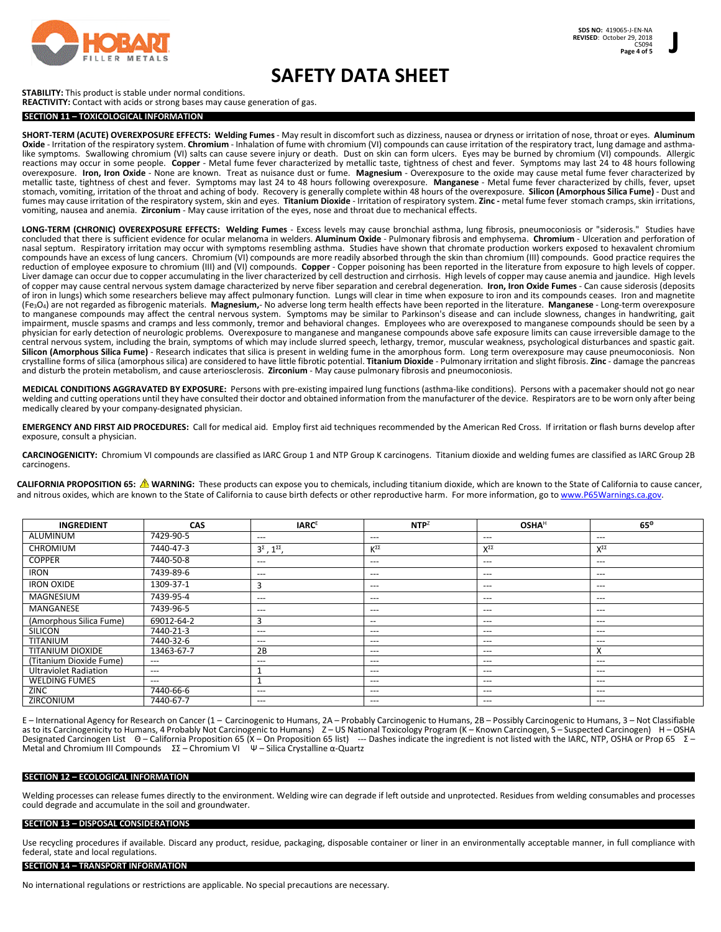

## **SAFETY DATA SHEET**

## **STABILITY:** This product is stable under normal conditions.

## **REACTIVITY:** Contact with acids or strong bases may cause generation of gas.

## **SECTION 11 – TOXICOLOGICAL INFORMATION**

**SHORT-TERM (ACUTE) OVEREXPOSURE EFFECTS: Welding Fumes**- May result in discomfort such as dizziness, nausea or dryness or irritation of nose, throat or eyes. **Aluminum Oxide** - Irritation of the respiratory system. **Chromium** - Inhalation of fume with chromium (VI) compounds can cause irritation of the respiratory tract, lung damage and asthmalike symptoms. Swallowing chromium (VI) salts can cause severe injury or death. Dust on skin can form ulcers. Eyes may be burned by chromium (VI) compounds. Allergic reactions may occur in some people. **Copper** - Metal fume fever characterized by metallic taste, tightness of chest and fever. Symptoms may last 24 to 48 hours following overexposure. **Iron, Iron Oxide** - None are known. Treat as nuisance dust or fume. **Magnesium** - Overexposure to the oxide may cause metal fume fever characterized by metallic taste, tightness of chest and fever. Symptoms may last 24 to 48 hours following overexposure. **Manganese** - Metal fume fever characterized by chills, fever, upset stomach, vomiting, irritation of the throat and aching of body. Recovery is generally complete within 48 hours of the overexposure. **Silicon (Amorphous Silica Fume)** - Dust and fumes may cause irritation of the respiratory system, skin and eyes. **Titanium Dioxide** - Irritation of respiratory system. **Zinc -** metal fume fever stomach cramps, skin irritations, vomiting, nausea and anemia. **Zirconium** - May cause irritation of the eyes, nose and throat due to mechanical effects.

**LONG-TERM (CHRONIC) OVEREXPOSURE EFFECTS: Welding Fumes** - Excess levels may cause bronchial asthma, lung fibrosis, pneumoconiosis or "siderosis." Studies have concluded that there is sufficient evidence for ocular melanoma in welders. **Aluminum Oxide** - Pulmonary fibrosis and emphysema. **Chromium** - Ulceration and perforation of nasal septum. Respiratory irritation may occur with symptoms resembling asthma. Studies have shown that chromate production workers exposed to hexavalent chromium compounds have an excess of lung cancers. Chromium (VI) compounds are more readily absorbed through the skin than chromium (III) compounds. Good practice requires the reduction of employee exposure to chromium (III) and (VI) compounds. **Copper** - Copper poisoning has been reported in the literature from exposure to high levels of copper. Liver damage can occur due to copper accumulating in the liver characterized by cell destruction and cirrhosis. High levels of copper may cause anemia and jaundice. High levels of copper may cause central nervous system damage characterized by nerve fiber separation and cerebral degeneration. **Iron, Iron Oxide Fumes** - Can cause siderosis (deposits of iron in lungs) which some researchers believe may affect pulmonary function. Lungs will clear in time when exposure to iron and its compounds ceases. Iron and magnetite (Fe3O4) are not regarded as fibrogenic materials. **Magnesium,**- No adverse long term health effects have been reported in the literature. **Manganese** - Long-term overexposure to manganese compounds may affect the central nervous system. Symptoms may be similar to Parkinson's disease and can include slowness, changes in handwriting, gait impairment, muscle spasms and cramps and less commonly, tremor and behavioral changes. Employees who are overexposed to manganese compounds should be seen by a physician for early detection of neurologic problems*.* Overexposure to manganese and manganese compounds above safe exposure limits can cause irreversible damage to the central nervous system, including the brain, symptoms of which may include slurred speech, lethargy, tremor, muscular weakness, psychological disturbances and spastic gait. **Silicon (Amorphous Silica Fume)** - Research indicates that silica is present in welding fume in the amorphous form. Long term overexposure may cause pneumoconiosis. Non crystalline forms of silica (amorphous silica) are considered to have little fibrotic potential. **Titanium Dioxide** - Pulmonary irritation and slight fibrosis. **Zinc** - damage the pancreas and disturb the protein metabolism, and cause arteriosclerosis. **Zirconium** - May cause pulmonary fibrosis and pneumoconiosis.

**MEDICAL CONDITIONS AGGRAVATED BY EXPOSURE:** Persons with pre-existing impaired lung functions (asthma-like conditions). Persons with a pacemaker should not go near welding and cutting operations until they have consulted their doctor and obtained information from the manufacturer of the device. Respirators are to be worn only after being medically cleared by your company-designated physician.

**EMERGENCY AND FIRST AID PROCEDURES:** Call for medical aid. Employ first aid techniques recommended by the American Red Cross. If irritation or flash burns develop after exposure, consult a physician.

**CARCINOGENICITY:** Chromium VI compounds are classified as IARC Group 1 and NTP Group K carcinogens. Titanium dioxide and welding fumes are classified as IARC Group 2B carcinogens.

**CALIFORNIA PROPOSITION 65: WARNING:** These products can expose you to chemicals, including titanium dioxide, which are known to the State of California to cause cancer, and nitrous oxides, which are known to the State of California to cause birth defects or other reproductive harm. For more information, go to www.P65Warnings.ca.gov.

| <b>INGREDIENT</b>            | <b>CAS</b> | <b>IARCE</b>                        | $NTP^Z$ | <b>OSHA<sup>H</sup></b> | $65^\circ$         |
|------------------------------|------------|-------------------------------------|---------|-------------------------|--------------------|
| ALUMINUM                     | 7429-90-5  | ---                                 | $---$   | $---$                   | $---$              |
| <b>CHROMIUM</b>              | 7440-47-3  | $3^{\Sigma}$ , $1^{\Sigma\Sigma}$ , | KΣΣ     | $X^{\Sigma\Sigma}$      | $X^{\Sigma\Sigma}$ |
| <b>COPPER</b>                | 7440-50-8  | ---                                 | $---$   | $---$                   | ---                |
| <b>IRON</b>                  | 7439-89-6  | ---                                 | $---$   | $---$                   | ---                |
| <b>IRON OXIDE</b>            | 1309-37-1  | 3                                   | $---$   | $---$                   | ---                |
| MAGNESIUM                    | 7439-95-4  | ---                                 | $---$   | ---                     | ---                |
| MANGANESE                    | 7439-96-5  | ---                                 | $---$   | $---$                   | ---                |
| (Amorphous Silica Fume)      | 69012-64-2 | 3                                   | $-$     | $---$                   | ---                |
| <b>SILICON</b>               | 7440-21-3  | ---                                 | $---$   | $---$                   | ---                |
| <b>TITANIUM</b>              | 7440-32-6  | ---                                 | $---$   | ---                     | ---                |
| <b>TITANIUM DIOXIDE</b>      | 13463-67-7 | 2B                                  | $---$   | ---                     | $\checkmark$<br>⋏  |
| (Titanium Dioxide Fume)      | $---$      | $---$                               | $---$   | ---                     | ---                |
| <b>Ultraviolet Radiation</b> | $---$      | Ŧ                                   | $---$   | ---                     | ---                |
| <b>WELDING FUMES</b>         | $---$      |                                     | $---$   | ---                     | ---                |
| <b>ZINC</b>                  | 7440-66-6  | ---                                 | $---$   | ---                     | ---                |
| ZIRCONIUM                    | 7440-67-7  | ---                                 | $---$   | $---$                   | ---                |

Ε – International Agency for Research on Cancer (1 – Carcinogenic to Humans, 2A – Probably Carcinogenic to Humans, 2B – Possibly Carcinogenic to Humans, 3 – Not Classifiable as to its Carcinogenicity to Humans, 4 Probably Not Carcinogenic to Humans) Ζ – US National Toxicology Program (K – Known Carcinogen, S – Suspected Carcinogen) Η – OSHA Designated Carcinogen List Θ – California Proposition 65 (X – On Proposition 65 list) --- Dashes indicate the ingredient is not listed with the IARC, NTP, OSHA or Prop 65 Σ – Metal and Chromium III Compounds ΣΣ – Chromium VI Ψ – Silica Crystalline α-Quartz

## **SECTION 12 – ECOLOGICAL INFORMATION**

Welding processes can release fumes directly to the environment. Welding wire can degrade if left outside and unprotected. Residues from welding consumables and processes could degrade and accumulate in the soil and groundwater.

#### **SECTION 13 – DISPOSAL CONSIDERATIONS**

Use recycling procedures if available. Discard any product, residue, packaging, disposable container or liner in an environmentally acceptable manner, in full compliance with federal, state and local regulations.

#### **SECTION 14 – TRANSPORT INFORMATION**

No international regulations or restrictions are applicable. No special precautions are necessary.